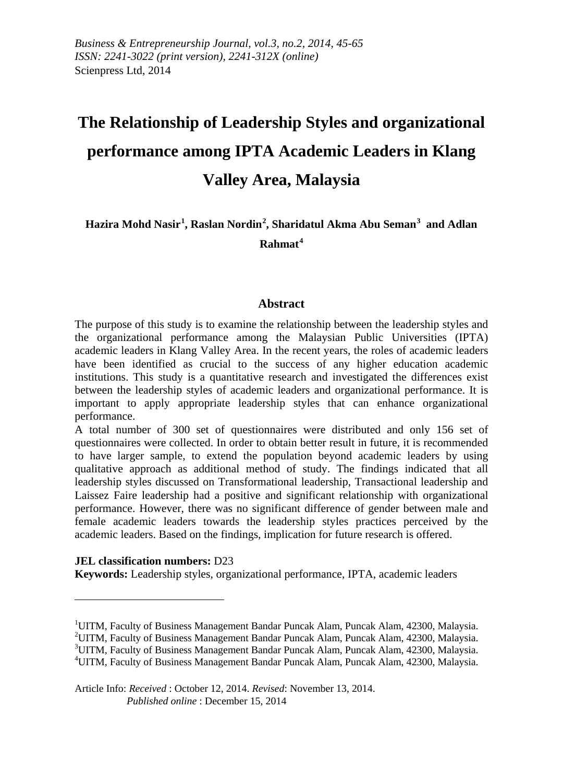# **The Relationship of Leadership Styles and organizational performance among IPTA Academic Leaders in Klang Valley Area, Malaysia**

**Hazira Mohd Nasir[1](#page-0-0) , Raslan Nordin[2](#page-0-1) , Sharidatul Akma Abu Seman[3](#page-0-2) and Adlan Rahmat[4](#page-0-3)**

#### **Abstract**

The purpose of this study is to examine the relationship between the leadership styles and the organizational performance among the Malaysian Public Universities (IPTA) academic leaders in Klang Valley Area. In the recent years, the roles of academic leaders have been identified as crucial to the success of any higher education academic institutions. This study is a quantitative research and investigated the differences exist between the leadership styles of academic leaders and organizational performance. It is important to apply appropriate leadership styles that can enhance organizational performance.

A total number of 300 set of questionnaires were distributed and only 156 set of questionnaires were collected. In order to obtain better result in future, it is recommended to have larger sample, to extend the population beyond academic leaders by using qualitative approach as additional method of study. The findings indicated that all leadership styles discussed on Transformational leadership, Transactional leadership and Laissez Faire leadership had a positive and significant relationship with organizational performance. However, there was no significant difference of gender between male and female academic leaders towards the leadership styles practices perceived by the academic leaders. Based on the findings, implication for future research is offered.

#### **JEL classification numbers:** D23

 $\overline{a}$ 

**Keywords:** Leadership styles, organizational performance, IPTA, academic leaders

Article Info: *Received* : October 12, 2014. *Revised*: November 13, 2014. *Published online* : December 15, 2014

<span id="page-0-0"></span><sup>&</sup>lt;sup>1</sup> UITM, Faculty of Business Management Bandar Puncak Alam, Puncak Alam, 42300, Malaysia.<br><sup>2</sup> UTM, Faculty of Business Management Bandar Puncak Alam, Puncak Alam, 42300, Malaysia.

<span id="page-0-1"></span><sup>&</sup>lt;sup>2</sup> UITM, Faculty of Business Management Bandar Puncak Alam, Puncak Alam, 42300, Malaysia.

<span id="page-0-2"></span><sup>&</sup>lt;sup>3</sup> UITM, Faculty of Business Management Bandar Puncak Alam, Puncak Alam, 42300, Malaysia.

<span id="page-0-3"></span>UITM, Faculty of Business Management Bandar Puncak Alam, Puncak Alam, 42300, Malaysia.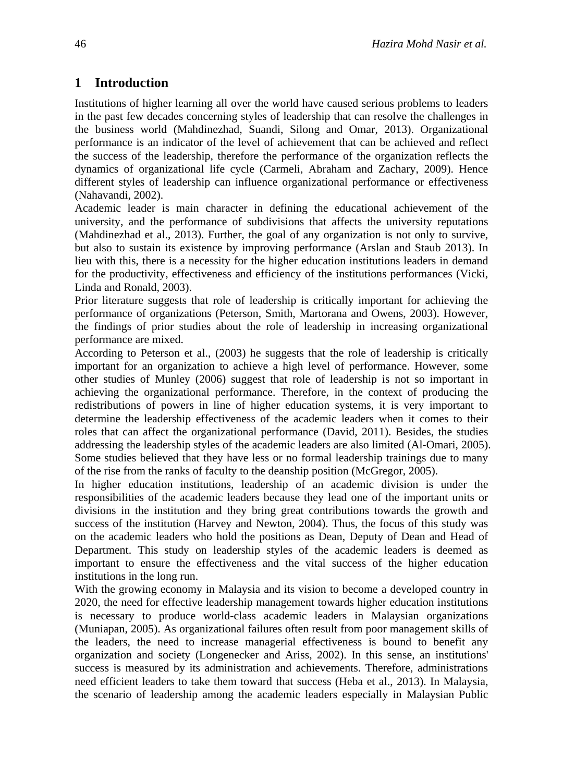# **1 Introduction**

Institutions of higher learning all over the world have caused serious problems to leaders in the past few decades concerning styles of leadership that can resolve the challenges in the business world (Mahdinezhad, Suandi, Silong and Omar, 2013). Organizational performance is an indicator of the level of achievement that can be achieved and reflect the success of the leadership, therefore the performance of the organization reflects the dynamics of organizational life cycle (Carmeli, Abraham and Zachary, 2009). Hence different styles of leadership can influence organizational performance or effectiveness (Nahavandi, 2002).

Academic leader is main character in defining the educational achievement of the university, and the performance of subdivisions that affects the university reputations (Mahdinezhad et al., 2013). Further, the goal of any organization is not only to survive, but also to sustain its existence by improving performance (Arslan and Staub 2013). In lieu with this, there is a necessity for the higher education institutions leaders in demand for the productivity, effectiveness and efficiency of the institutions performances (Vicki, Linda and Ronald, 2003).

Prior literature suggests that role of leadership is critically important for achieving the performance of organizations (Peterson, Smith, Martorana and Owens, 2003). However, the findings of prior studies about the role of leadership in increasing organizational performance are mixed.

According to Peterson et al., (2003) he suggests that the role of leadership is critically important for an organization to achieve a high level of performance. However, some other studies of Munley (2006) suggest that role of leadership is not so important in achieving the organizational performance. Therefore, in the context of producing the redistributions of powers in line of higher education systems, it is very important to determine the leadership effectiveness of the academic leaders when it comes to their roles that can affect the organizational performance (David, 2011). Besides, the studies addressing the leadership styles of the academic leaders are also limited (Al-Omari, 2005). Some studies believed that they have less or no formal leadership trainings due to many of the rise from the ranks of faculty to the deanship position (McGregor, 2005).

In higher education institutions, leadership of an academic division is under the responsibilities of the academic leaders because they lead one of the important units or divisions in the institution and they bring great contributions towards the growth and success of the institution (Harvey and Newton, 2004). Thus, the focus of this study was on the academic leaders who hold the positions as Dean, Deputy of Dean and Head of Department. This study on leadership styles of the academic leaders is deemed as important to ensure the effectiveness and the vital success of the higher education institutions in the long run.

With the growing economy in Malaysia and its vision to become a developed country in 2020, the need for effective leadership management towards higher education institutions is necessary to produce world-class academic leaders in Malaysian organizations (Muniapan, 2005). As organizational failures often result from poor management skills of the leaders, the need to increase managerial effectiveness is bound to benefit any organization and society (Longenecker and Ariss, 2002). In this sense, an institutions' success is measured by its administration and achievements. Therefore, administrations need efficient leaders to take them toward that success (Heba et al., 2013). In Malaysia, the scenario of leadership among the academic leaders especially in Malaysian Public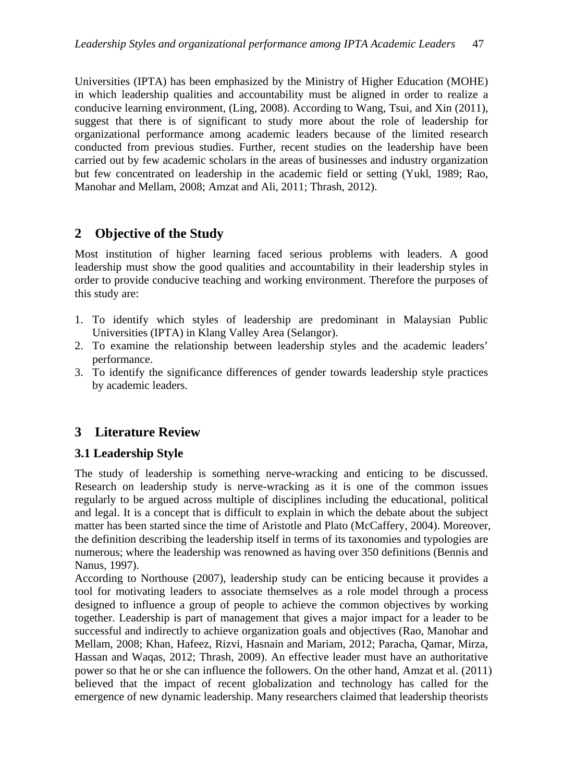Universities (IPTA) has been emphasized by the Ministry of Higher Education (MOHE) in which leadership qualities and accountability must be aligned in order to realize a conducive learning environment, (Ling, 2008). According to Wang, Tsui, and Xin (2011), suggest that there is of significant to study more about the role of leadership for organizational performance among academic leaders because of the limited research conducted from previous studies. Further, recent studies on the leadership have been carried out by few academic scholars in the areas of businesses and industry organization but few concentrated on leadership in the academic field or setting (Yukl, 1989; Rao, Manohar and Mellam, 2008; Amzat and Ali, 2011; Thrash, 2012).

# **2 Objective of the Study**

Most institution of higher learning faced serious problems with leaders. A good leadership must show the good qualities and accountability in their leadership styles in order to provide conducive teaching and working environment. Therefore the purposes of this study are:

- 1. To identify which styles of leadership are predominant in Malaysian Public Universities (IPTA) in Klang Valley Area (Selangor).
- 2. To examine the relationship between leadership styles and the academic leaders' performance.
- 3. To identify the significance differences of gender towards leadership style practices by academic leaders.

# **3 Literature Review**

## **3.1 Leadership Style**

The study of leadership is something nerve-wracking and enticing to be discussed. Research on leadership study is nerve-wracking as it is one of the common issues regularly to be argued across multiple of disciplines including the educational, political and legal. It is a concept that is difficult to explain in which the debate about the subject matter has been started since the time of Aristotle and Plato (McCaffery, 2004). Moreover, the definition describing the leadership itself in terms of its taxonomies and typologies are numerous; where the leadership was renowned as having over 350 definitions (Bennis and Nanus, 1997).

According to Northouse (2007), leadership study can be enticing because it provides a tool for motivating leaders to associate themselves as a role model through a process designed to influence a group of people to achieve the common objectives by working together. Leadership is part of management that gives a major impact for a leader to be successful and indirectly to achieve organization goals and objectives (Rao, Manohar and Mellam, 2008; Khan, Hafeez, Rizvi, Hasnain and Mariam, 2012; Paracha, Qamar, Mirza, Hassan and Waqas, 2012; Thrash, 2009). An effective leader must have an authoritative power so that he or she can influence the followers. On the other hand, Amzat et al. (2011) believed that the impact of recent globalization and technology has called for the emergence of new dynamic leadership. Many researchers claimed that leadership theorists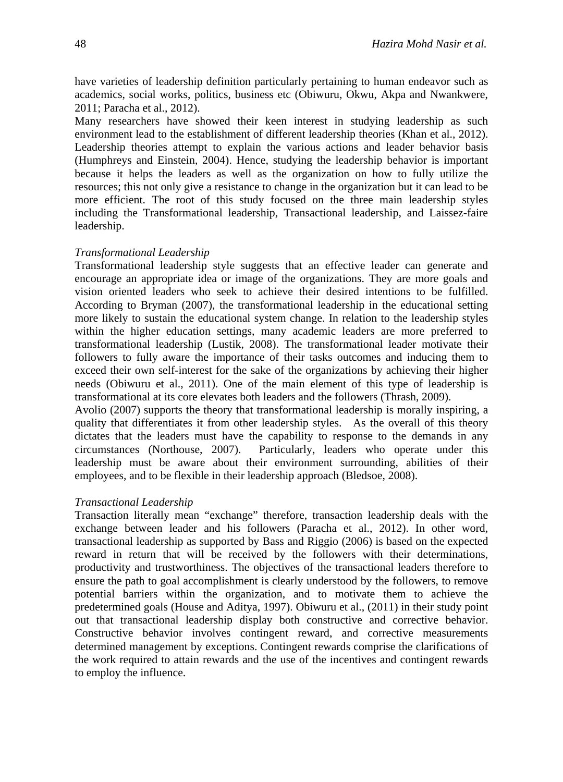have varieties of leadership definition particularly pertaining to human endeavor such as academics, social works, politics, business etc (Obiwuru, Okwu, Akpa and Nwankwere, 2011; Paracha et al., 2012).

Many researchers have showed their keen interest in studying leadership as such environment lead to the establishment of different leadership theories (Khan et al., 2012). Leadership theories attempt to explain the various actions and leader behavior basis (Humphreys and Einstein, 2004). Hence, studying the leadership behavior is important because it helps the leaders as well as the organization on how to fully utilize the resources; this not only give a resistance to change in the organization but it can lead to be more efficient. The root of this study focused on the three main leadership styles including the Transformational leadership, Transactional leadership, and Laissez-faire leadership.

#### *Transformational Leadership*

Transformational leadership style suggests that an effective leader can generate and encourage an appropriate idea or image of the organizations. They are more goals and vision oriented leaders who seek to achieve their desired intentions to be fulfilled. According to Bryman (2007), the transformational leadership in the educational setting more likely to sustain the educational system change. In relation to the leadership styles within the higher education settings, many academic leaders are more preferred to transformational leadership (Lustik, 2008). The transformational leader motivate their followers to fully aware the importance of their tasks outcomes and inducing them to exceed their own self-interest for the sake of the organizations by achieving their higher needs (Obiwuru et al., 2011). One of the main element of this type of leadership is transformational at its core elevates both leaders and the followers (Thrash, 2009).

Avolio (2007) supports the theory that transformational leadership is morally inspiring, a quality that differentiates it from other leadership styles. As the overall of this theory dictates that the leaders must have the capability to response to the demands in any circumstances (Northouse, 2007). Particularly, leaders who operate under this leadership must be aware about their environment surrounding, abilities of their employees, and to be flexible in their leadership approach (Bledsoe, 2008).

#### *Transactional Leadership*

Transaction literally mean "exchange" therefore, transaction leadership deals with the exchange between leader and his followers (Paracha et al., 2012). In other word, transactional leadership as supported by Bass and Riggio (2006) is based on the expected reward in return that will be received by the followers with their determinations, productivity and trustworthiness. The objectives of the transactional leaders therefore to ensure the path to goal accomplishment is clearly understood by the followers, to remove potential barriers within the organization, and to motivate them to achieve the predetermined goals (House and Aditya, 1997). Obiwuru et al., (2011) in their study point out that transactional leadership display both constructive and corrective behavior. Constructive behavior involves contingent reward, and corrective measurements determined management by exceptions. Contingent rewards comprise the clarifications of the work required to attain rewards and the use of the incentives and contingent rewards to employ the influence.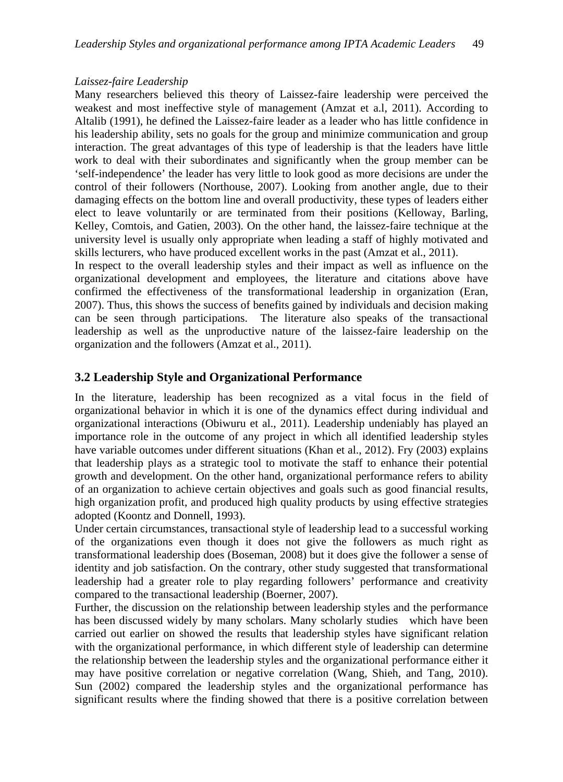#### *Laissez-faire Leadership*

Many researchers believed this theory of Laissez-faire leadership were perceived the weakest and most ineffective style of management (Amzat et a.l, 2011). According to Altalib (1991), he defined the Laissez-faire leader as a leader who has little confidence in his leadership ability, sets no goals for the group and minimize communication and group interaction. The great advantages of this type of leadership is that the leaders have little work to deal with their subordinates and significantly when the group member can be 'self-independence' the leader has very little to look good as more decisions are under the control of their followers (Northouse, 2007). Looking from another angle, due to their damaging effects on the bottom line and overall productivity, these types of leaders either elect to leave voluntarily or are terminated from their positions (Kelloway, Barling, Kelley, Comtois, and Gatien, 2003). On the other hand, the laissez-faire technique at the university level is usually only appropriate when leading a staff of highly motivated and skills lecturers, who have produced excellent works in the past (Amzat et al., 2011).

In respect to the overall leadership styles and their impact as well as influence on the organizational development and employees, the literature and citations above have confirmed the effectiveness of the transformational leadership in organization (Eran, 2007). Thus, this shows the success of benefits gained by individuals and decision making can be seen through participations. The literature also speaks of the transactional leadership as well as the unproductive nature of the laissez-faire leadership on the organization and the followers (Amzat et al., 2011).

## **3.2 Leadership Style and Organizational Performance**

In the literature, leadership has been recognized as a vital focus in the field of organizational behavior in which it is one of the dynamics effect during individual and organizational interactions (Obiwuru et al., 2011). Leadership undeniably has played an importance role in the outcome of any project in which all identified leadership styles have variable outcomes under different situations (Khan et al., 2012). Fry (2003) explains that leadership plays as a strategic tool to motivate the staff to enhance their potential growth and development. On the other hand, organizational performance refers to ability of an organization to achieve certain objectives and goals such as good financial results, high organization profit, and produced high quality products by using effective strategies adopted (Koontz and Donnell, 1993).

Under certain circumstances, transactional style of leadership lead to a successful working of the organizations even though it does not give the followers as much right as transformational leadership does (Boseman, 2008) but it does give the follower a sense of identity and job satisfaction. On the contrary, other study suggested that transformational leadership had a greater role to play regarding followers' performance and creativity compared to the transactional leadership (Boerner, 2007).

Further, the discussion on the relationship between leadership styles and the performance has been discussed widely by many scholars. Many scholarly studies which have been carried out earlier on showed the results that leadership styles have significant relation with the organizational performance, in which different style of leadership can determine the relationship between the leadership styles and the organizational performance either it may have positive correlation or negative correlation (Wang, Shieh, and Tang, 2010). Sun (2002) compared the leadership styles and the organizational performance has significant results where the finding showed that there is a positive correlation between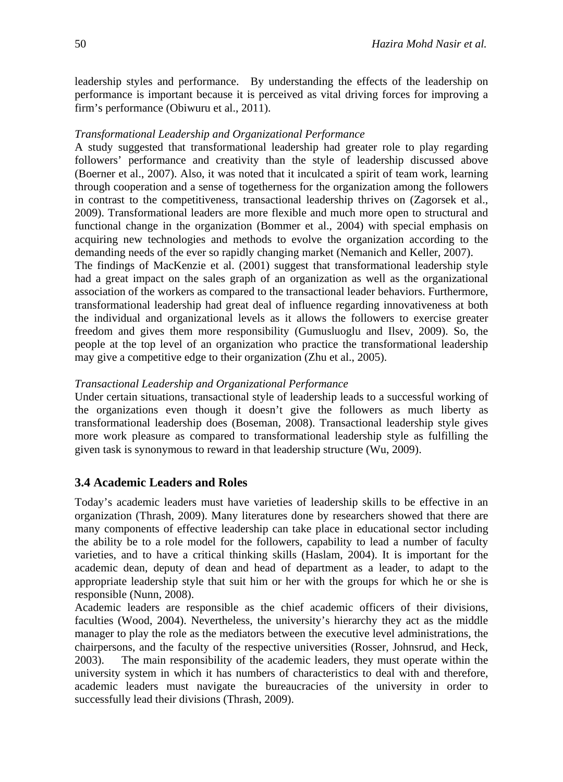leadership styles and performance. By understanding the effects of the leadership on performance is important because it is perceived as vital driving forces for improving a firm's performance (Obiwuru et al., 2011).

#### *Transformational Leadership and Organizational Performance*

A study suggested that transformational leadership had greater role to play regarding followers' performance and creativity than the style of leadership discussed above (Boerner et al., 2007). Also, it was noted that it inculcated a spirit of team work, learning through cooperation and a sense of togetherness for the organization among the followers in contrast to the competitiveness, transactional leadership thrives on (Zagorsek et al., 2009). Transformational leaders are more flexible and much more open to structural and functional change in the organization (Bommer et al., 2004) with special emphasis on acquiring new technologies and methods to evolve the organization according to the demanding needs of the ever so rapidly changing market (Nemanich and Keller, 2007).

The findings of MacKenzie et al. (2001) suggest that transformational leadership style had a great impact on the sales graph of an organization as well as the organizational association of the workers as compared to the transactional leader behaviors. Furthermore, transformational leadership had great deal of influence regarding innovativeness at both the individual and organizational levels as it allows the followers to exercise greater freedom and gives them more responsibility (Gumusluoglu and Ilsev, 2009). So, the people at the top level of an organization who practice the transformational leadership may give a competitive edge to their organization (Zhu et al., 2005).

#### *Transactional Leadership and Organizational Performance*

Under certain situations, transactional style of leadership leads to a successful working of the organizations even though it doesn't give the followers as much liberty as transformational leadership does (Boseman, 2008). Transactional leadership style gives more work pleasure as compared to transformational leadership style as fulfilling the given task is synonymous to reward in that leadership structure (Wu, 2009).

#### **3.4 Academic Leaders and Roles**

Today's academic leaders must have varieties of leadership skills to be effective in an organization (Thrash, 2009). Many literatures done by researchers showed that there are many components of effective leadership can take place in educational sector including the ability be to a role model for the followers, capability to lead a number of faculty varieties, and to have a critical thinking skills (Haslam, 2004). It is important for the academic dean, deputy of dean and head of department as a leader, to adapt to the appropriate leadership style that suit him or her with the groups for which he or she is responsible (Nunn, 2008).

Academic leaders are responsible as the chief academic officers of their divisions, faculties (Wood, 2004). Nevertheless, the university's hierarchy they act as the middle manager to play the role as the mediators between the executive level administrations, the chairpersons, and the faculty of the respective universities (Rosser, Johnsrud, and Heck, 2003). The main responsibility of the academic leaders, they must operate within the university system in which it has numbers of characteristics to deal with and therefore, academic leaders must navigate the bureaucracies of the university in order to successfully lead their divisions (Thrash, 2009).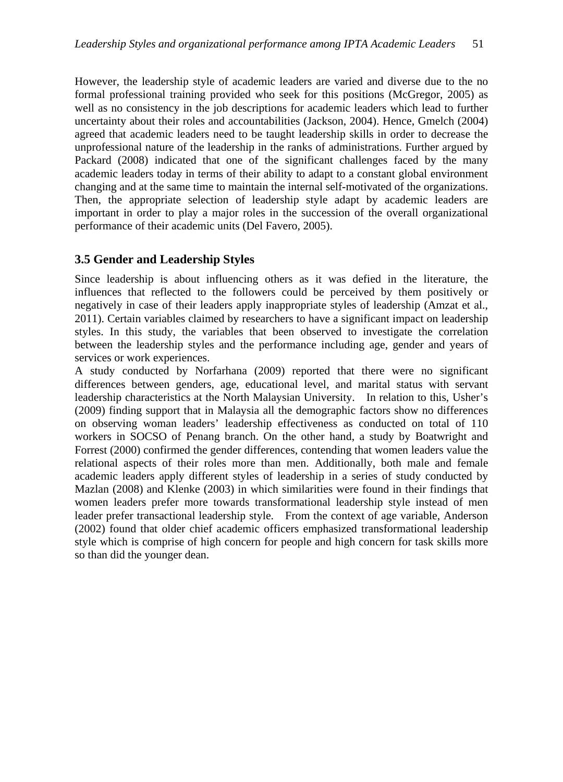However, the leadership style of academic leaders are varied and diverse due to the no formal professional training provided who seek for this positions (McGregor, 2005) as well as no consistency in the job descriptions for academic leaders which lead to further uncertainty about their roles and accountabilities (Jackson, 2004). Hence, Gmelch (2004) agreed that academic leaders need to be taught leadership skills in order to decrease the unprofessional nature of the leadership in the ranks of administrations. Further argued by Packard (2008) indicated that one of the significant challenges faced by the many academic leaders today in terms of their ability to adapt to a constant global environment changing and at the same time to maintain the internal self-motivated of the organizations. Then, the appropriate selection of leadership style adapt by academic leaders are important in order to play a major roles in the succession of the overall organizational performance of their academic units (Del Favero, 2005).

## **3.5 Gender and Leadership Styles**

Since leadership is about influencing others as it was defied in the literature, the influences that reflected to the followers could be perceived by them positively or negatively in case of their leaders apply inappropriate styles of leadership (Amzat et al., 2011). Certain variables claimed by researchers to have a significant impact on leadership styles. In this study, the variables that been observed to investigate the correlation between the leadership styles and the performance including age, gender and years of services or work experiences.

A study conducted by Norfarhana (2009) reported that there were no significant differences between genders, age, educational level, and marital status with servant leadership characteristics at the North Malaysian University. In relation to this, Usher's (2009) finding support that in Malaysia all the demographic factors show no differences on observing woman leaders' leadership effectiveness as conducted on total of 110 workers in SOCSO of Penang branch. On the other hand, a study by Boatwright and Forrest (2000) confirmed the gender differences, contending that women leaders value the relational aspects of their roles more than men. Additionally, both male and female academic leaders apply different styles of leadership in a series of study conducted by Mazlan (2008) and Klenke (2003) in which similarities were found in their findings that women leaders prefer more towards transformational leadership style instead of men leader prefer transactional leadership style. From the context of age variable, Anderson (2002) found that older chief academic officers emphasized transformational leadership style which is comprise of high concern for people and high concern for task skills more so than did the younger dean.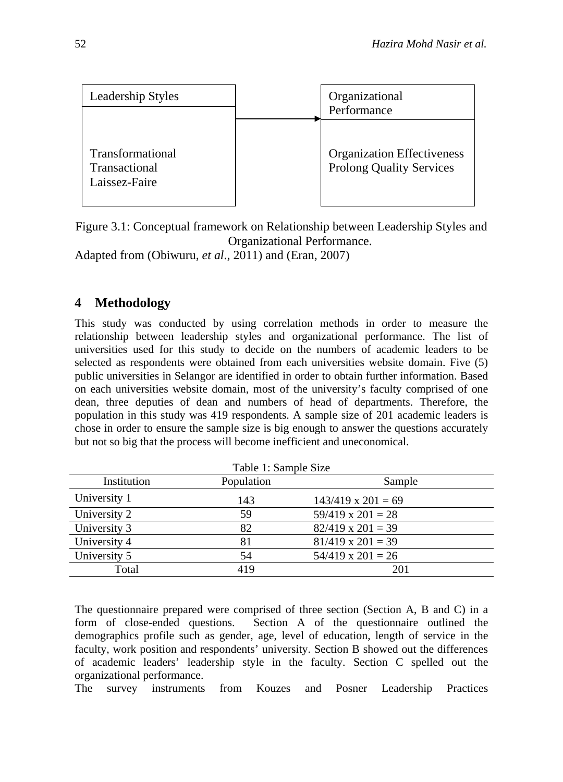

Figure 3.1: Conceptual framework on Relationship between Leadership Styles and Organizational Performance.

Adapted from (Obiwuru*, et al*., 2011) and (Eran, 2007)

## **4 Methodology**

This study was conducted by using correlation methods in order to measure the relationship between leadership styles and organizational performance. The list of universities used for this study to decide on the numbers of academic leaders to be selected as respondents were obtained from each universities website domain. Five (5) public universities in Selangor are identified in order to obtain further information. Based on each universities website domain, most of the university's faculty comprised of one dean, three deputies of dean and numbers of head of departments. Therefore, the population in this study was 419 respondents. A sample size of 201 academic leaders is chose in order to ensure the sample size is big enough to answer the questions accurately but not so big that the process will become inefficient and uneconomical.

| Table 1: Sample Size |            |                           |  |  |  |  |
|----------------------|------------|---------------------------|--|--|--|--|
| Institution          | Population | Sample                    |  |  |  |  |
| University 1         | 143        | $143/419 \times 201 = 69$ |  |  |  |  |
| University 2         | 59         | $59/419 \times 201 = 28$  |  |  |  |  |
| University 3         | 82         | $82/419 \times 201 = 39$  |  |  |  |  |
| University 4         | 81         | $81/419 \times 201 = 39$  |  |  |  |  |
| University 5         | 54         | $54/419 \times 201 = 26$  |  |  |  |  |
| Total                | 419        | 201                       |  |  |  |  |

The questionnaire prepared were comprised of three section (Section A, B and C) in a form of close-ended questions. Section A of the questionnaire outlined the demographics profile such as gender, age, level of education, length of service in the faculty, work position and respondents' university. Section B showed out the differences of academic leaders' leadership style in the faculty. Section C spelled out the organizational performance.

The survey instruments from Kouzes and Posner Leadership Practices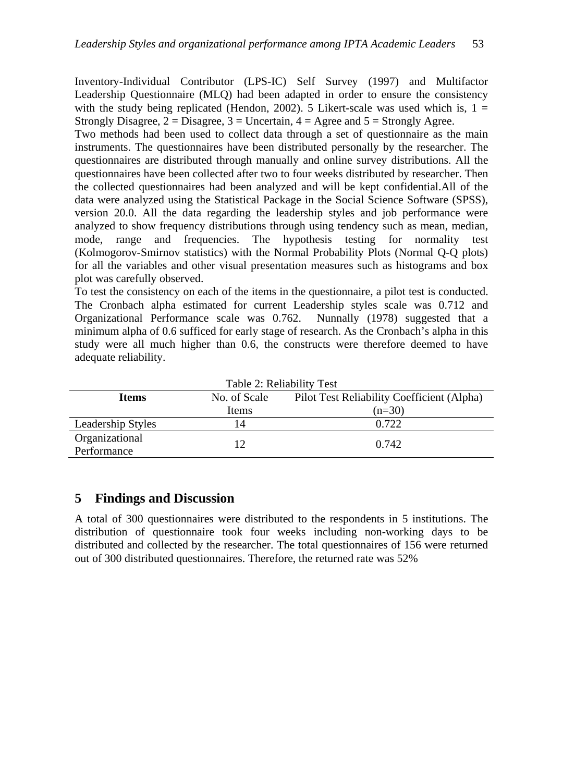Inventory-Individual Contributor (LPS-IC) Self Survey (1997) and Multifactor Leadership Questionnaire (MLQ) had been adapted in order to ensure the consistency with the study being replicated (Hendon, 2002). 5 Likert-scale was used which is,  $1 =$ Strongly Disagree,  $2 = Disagree$ ,  $3 = Uncertain$ ,  $4 = Agree$  and  $5 = Strongly$  Agree.

Two methods had been used to collect data through a set of questionnaire as the main instruments. The questionnaires have been distributed personally by the researcher. The questionnaires are distributed through manually and online survey distributions. All the questionnaires have been collected after two to four weeks distributed by researcher. Then the collected questionnaires had been analyzed and will be kept confidential.All of the data were analyzed using the Statistical Package in the Social Science Software (SPSS), version 20.0. All the data regarding the leadership styles and job performance were analyzed to show frequency distributions through using tendency such as mean, median, mode, range and frequencies. The hypothesis testing for normality test (Kolmogorov-Smirnov statistics) with the Normal Probability Plots (Normal Q-Q plots) for all the variables and other visual presentation measures such as histograms and box plot was carefully observed.

To test the consistency on each of the items in the questionnaire, a pilot test is conducted. The Cronbach alpha estimated for current Leadership styles scale was 0.712 and Organizational Performance scale was 0.762. Nunnally (1978) suggested that a minimum alpha of 0.6 sufficed for early stage of research. As the Cronbach's alpha in this study were all much higher than 0.6, the constructs were therefore deemed to have adequate reliability.

| Table 2: Reliability Test                                                  |              |          |  |  |  |  |  |
|----------------------------------------------------------------------------|--------------|----------|--|--|--|--|--|
| No. of Scale<br>Pilot Test Reliability Coefficient (Alpha)<br><b>Items</b> |              |          |  |  |  |  |  |
|                                                                            | <b>Items</b> | $(n=30)$ |  |  |  |  |  |
| Leadership Styles                                                          | 14           | 0.722    |  |  |  |  |  |
| Organizational<br>Performance                                              | 12           | 0.742    |  |  |  |  |  |

## **5 Findings and Discussion**

A total of 300 questionnaires were distributed to the respondents in 5 institutions. The distribution of questionnaire took four weeks including non-working days to be distributed and collected by the researcher. The total questionnaires of 156 were returned out of 300 distributed questionnaires. Therefore, the returned rate was 52%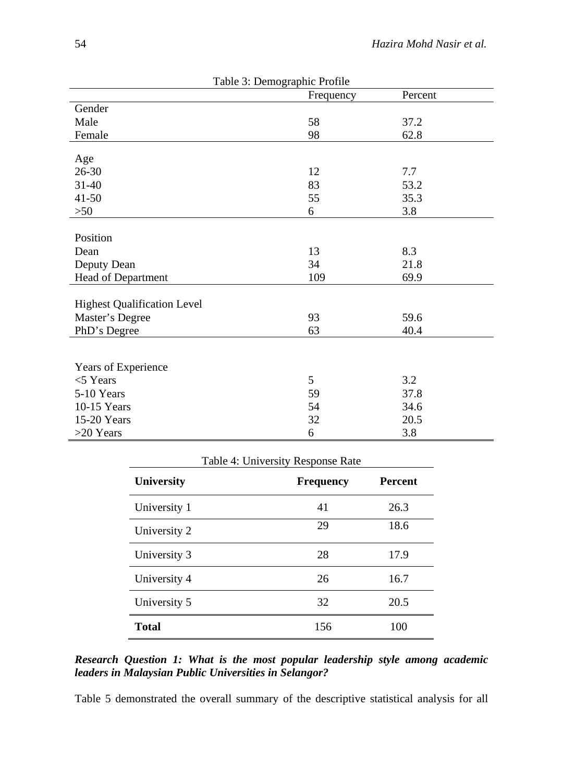| Table 3: Demographic Profile       |           |         |  |  |  |  |
|------------------------------------|-----------|---------|--|--|--|--|
|                                    | Frequency | Percent |  |  |  |  |
| Gender                             |           |         |  |  |  |  |
| Male                               | 58        | 37.2    |  |  |  |  |
| Female                             | 98        | 62.8    |  |  |  |  |
|                                    |           |         |  |  |  |  |
| Age                                |           |         |  |  |  |  |
| $26 - 30$                          | 12        | 7.7     |  |  |  |  |
| 31-40                              | 83        | 53.2    |  |  |  |  |
| $41 - 50$                          | 55        | 35.3    |  |  |  |  |
| $>50$                              | 6         | 3.8     |  |  |  |  |
|                                    |           |         |  |  |  |  |
| Position                           |           |         |  |  |  |  |
| Dean                               | 13        | 8.3     |  |  |  |  |
| Deputy Dean                        | 34        | 21.8    |  |  |  |  |
| Head of Department                 | 109       | 69.9    |  |  |  |  |
|                                    |           |         |  |  |  |  |
| <b>Highest Qualification Level</b> |           |         |  |  |  |  |
| Master's Degree                    | 93        | 59.6    |  |  |  |  |
| PhD's Degree                       | 63        | 40.4    |  |  |  |  |
|                                    |           |         |  |  |  |  |
|                                    |           |         |  |  |  |  |
| Years of Experience                |           |         |  |  |  |  |
| $<$ 5 Years                        | 5         | 3.2     |  |  |  |  |
| 5-10 Years                         | 59        | 37.8    |  |  |  |  |
| 10-15 Years                        | 54        | 34.6    |  |  |  |  |
| 15-20 Years                        | 32        | 20.5    |  |  |  |  |
| $>20$ Years                        | 6         | 3.8     |  |  |  |  |

| Table 4: University Response Rate |                  |                |  |  |  |  |
|-----------------------------------|------------------|----------------|--|--|--|--|
| <b>University</b>                 | <b>Frequency</b> | <b>Percent</b> |  |  |  |  |
| University 1                      | 41               | 26.3           |  |  |  |  |
| University 2                      | 29               | 18.6           |  |  |  |  |
| University 3                      | 28               | 17.9           |  |  |  |  |
| University 4                      | 26               | 16.7           |  |  |  |  |
| University 5                      | 32               | 20.5           |  |  |  |  |
| <b>Total</b>                      | 156              | 100            |  |  |  |  |

*Research Question 1: What is the most popular leadership style among academic leaders in Malaysian Public Universities in Selangor?*

Table 5 demonstrated the overall summary of the descriptive statistical analysis for all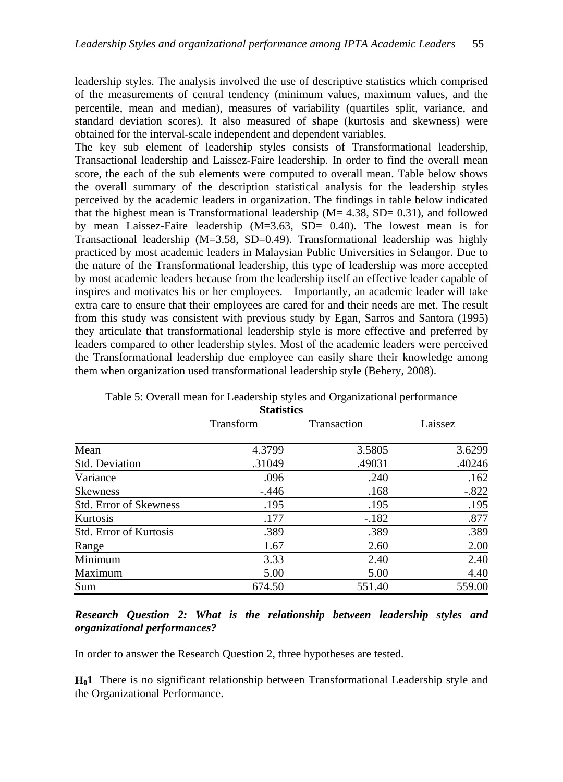leadership styles. The analysis involved the use of descriptive statistics which comprised of the measurements of central tendency (minimum values, maximum values, and the percentile, mean and median), measures of variability (quartiles split, variance, and standard deviation scores). It also measured of shape (kurtosis and skewness) were obtained for the interval-scale independent and dependent variables.

The key sub element of leadership styles consists of Transformational leadership, Transactional leadership and Laissez-Faire leadership. In order to find the overall mean score, the each of the sub elements were computed to overall mean. Table below shows the overall summary of the description statistical analysis for the leadership styles perceived by the academic leaders in organization. The findings in table below indicated that the highest mean is Transformational leadership  $(M = 4.38, SD = 0.31)$ , and followed by mean Laissez-Faire leadership (M=3.63, SD= 0.40). The lowest mean is for Transactional leadership (M=3.58, SD=0.49). Transformational leadership was highly practiced by most academic leaders in Malaysian Public Universities in Selangor. Due to the nature of the Transformational leadership, this type of leadership was more accepted by most academic leaders because from the leadership itself an effective leader capable of inspires and motivates his or her employees. Importantly, an academic leader will take extra care to ensure that their employees are cared for and their needs are met. The result from this study was consistent with previous study by Egan, Sarros and Santora (1995) they articulate that transformational leadership style is more effective and preferred by leaders compared to other leadership styles. Most of the academic leaders were perceived the Transformational leadership due employee can easily share their knowledge among them when organization used transformational leadership style (Behery, 2008).

|                               | Statistics |             |         |
|-------------------------------|------------|-------------|---------|
|                               | Transform  | Transaction | Laissez |
| Mean                          | 4.3799     | 3.5805      | 3.6299  |
| Std. Deviation                | .31049     | .49031      | .40246  |
| Variance                      | .096       | .240        | .162    |
| <b>Skewness</b>               | $-0.446$   | .168        | $-.822$ |
| <b>Std. Error of Skewness</b> | .195       | .195        | .195    |
| Kurtosis                      | .177       | $-182$      | .877    |
| Std. Error of Kurtosis        | .389       | .389        | .389    |
| Range                         | 1.67       | 2.60        | 2.00    |
| Minimum                       | 3.33       | 2.40        | 2.40    |
| Maximum                       | 5.00       | 5.00        | 4.40    |
| Sum                           | 674.50     | 551.40      | 559.00  |

Table 5: Overall mean for Leadership styles and Organizational performance **Statistics**

## *Research Question 2: What is the relationship between leadership styles and organizational performances?*

In order to answer the Research Question 2, three hypotheses are tested.

**H01** There is no significant relationship between Transformational Leadership style and the Organizational Performance.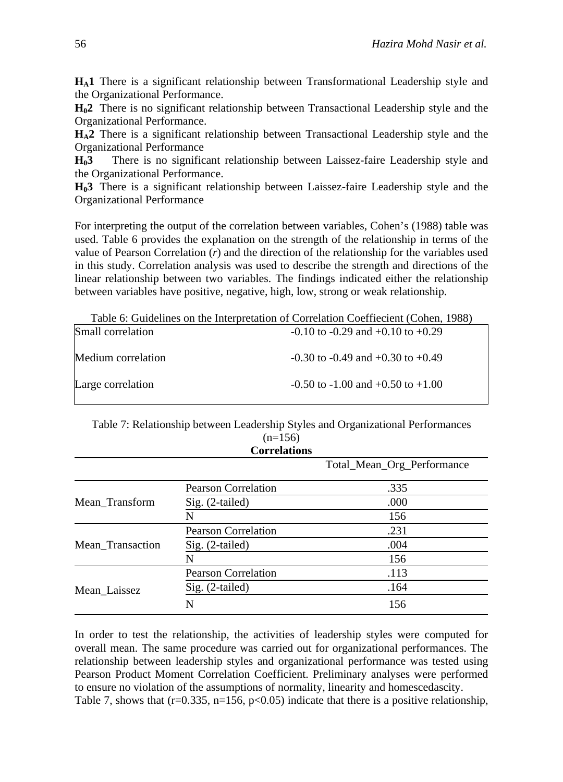**HA1** There is a significant relationship between Transformational Leadership style and the Organizational Performance.

**H02** There is no significant relationship between Transactional Leadership style and the Organizational Performance.

**HA2** There is a significant relationship between Transactional Leadership style and the Organizational Performance

**H03** There is no significant relationship between Laissez-faire Leadership style and the Organizational Performance.

**H03** There is a significant relationship between Laissez-faire Leadership style and the Organizational Performance

For interpreting the output of the correlation between variables, Cohen's (1988) table was used. Table 6 provides the explanation on the strength of the relationship in terms of the value of Pearson Correlation (*r*) and the direction of the relationship for the variables used in this study. Correlation analysis was used to describe the strength and directions of the linear relationship between two variables. The findings indicated either the relationship between variables have positive, negative, high, low, strong or weak relationship.

Table 6: Guidelines on the Interpretation of Correlation Coeffiecient (Cohen, 1988)

| Small correlation  | $-0.10$ to $-0.29$ and $+0.10$ to $+0.29$ |
|--------------------|-------------------------------------------|
| Medium correlation | $-0.30$ to $-0.49$ and $+0.30$ to $+0.49$ |
| Large correlation  | $-0.50$ to $-1.00$ and $+0.50$ to $+1.00$ |

Table 7: Relationship between Leadership Styles and Organizational Performances  $(n=156)$ **Correlations**

|                  |                            | Total_Mean_Org_Performance |
|------------------|----------------------------|----------------------------|
|                  | <b>Pearson Correlation</b> | .335                       |
| Mean_Transform   | Sig. (2-tailed)            | .000                       |
|                  | N                          | 156                        |
|                  | <b>Pearson Correlation</b> | .231                       |
| Mean_Transaction | Sig. (2-tailed)            | .004                       |
|                  | N                          | 156                        |
| Mean_Laissez     | <b>Pearson Correlation</b> | .113                       |
|                  | Sig. (2-tailed)            | .164                       |
|                  | N                          | 156                        |

In order to test the relationship, the activities of leadership styles were computed for overall mean. The same procedure was carried out for organizational performances. The relationship between leadership styles and organizational performance was tested using Pearson Product Moment Correlation Coefficient. Preliminary analyses were performed to ensure no violation of the assumptions of normality, linearity and homescedascity. Table 7, shows that  $(r=0.335, n=156, p<0.05)$  indicate that there is a positive relationship,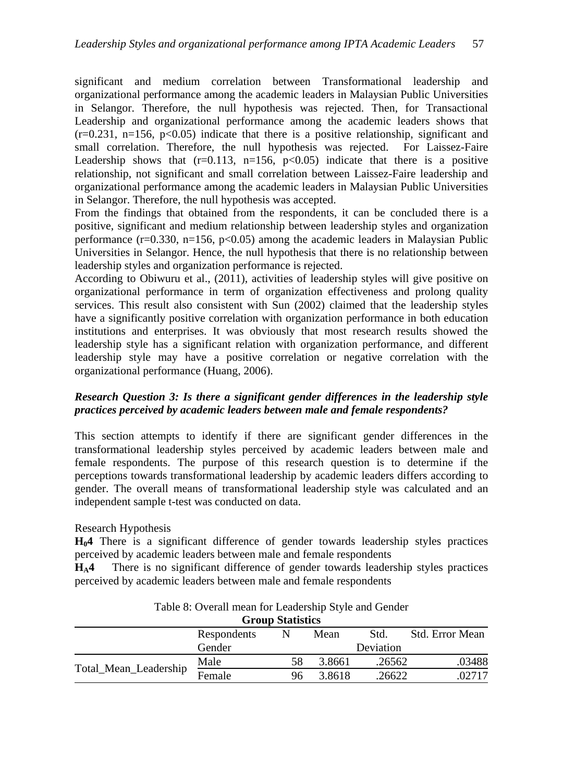significant and medium correlation between Transformational leadership and organizational performance among the academic leaders in Malaysian Public Universities in Selangor. Therefore, the null hypothesis was rejected. Then, for Transactional Leadership and organizational performance among the academic leaders shows that  $(r=0.231, n=156, p<0.05)$  indicate that there is a positive relationship, significant and small correlation. Therefore, the null hypothesis was rejected. For Laissez-Faire Leadership shows that  $(r=0.113, n=156, p<0.05)$  indicate that there is a positive relationship, not significant and small correlation between Laissez-Faire leadership and organizational performance among the academic leaders in Malaysian Public Universities in Selangor. Therefore, the null hypothesis was accepted.

From the findings that obtained from the respondents, it can be concluded there is a positive, significant and medium relationship between leadership styles and organization performance  $(r=0.330, n=156, p<0.05)$  among the academic leaders in Malaysian Public Universities in Selangor. Hence, the null hypothesis that there is no relationship between leadership styles and organization performance is rejected.

According to Obiwuru et al., (2011), activities of leadership styles will give positive on organizational performance in term of organization effectiveness and prolong quality services. This result also consistent with Sun (2002) claimed that the leadership styles have a significantly positive correlation with organization performance in both education institutions and enterprises. It was obviously that most research results showed the leadership style has a significant relation with organization performance, and different leadership style may have a positive correlation or negative correlation with the organizational performance (Huang, 2006).

#### *Research Question 3: Is there a significant gender differences in the leadership style practices perceived by academic leaders between male and female respondents?*

This section attempts to identify if there are significant gender differences in the transformational leadership styles perceived by academic leaders between male and female respondents. The purpose of this research question is to determine if the perceptions towards transformational leadership by academic leaders differs according to gender. The overall means of transformational leadership style was calculated and an independent sample t-test was conducted on data.

#### Research Hypothesis

**H04** There is a significant difference of gender towards leadership styles practices perceived by academic leaders between male and female respondents

**HA4** There is no significant difference of gender towards leadership styles practices perceived by academic leaders between male and female respondents

| <b>Group Statistics</b> |             |    |        |           |                 |  |  |
|-------------------------|-------------|----|--------|-----------|-----------------|--|--|
|                         | Respondents |    | Mean   | Std.      | Std. Error Mean |  |  |
|                         | Gender      |    |        | Deviation |                 |  |  |
|                         | Male        | 58 | 3.8661 | .26562    | .03488          |  |  |
| Total_Mean_Leadership   | Female      | 96 | 3.8618 | 26622     | .02717          |  |  |

Table 8: Overall mean for Leadership Style and Gender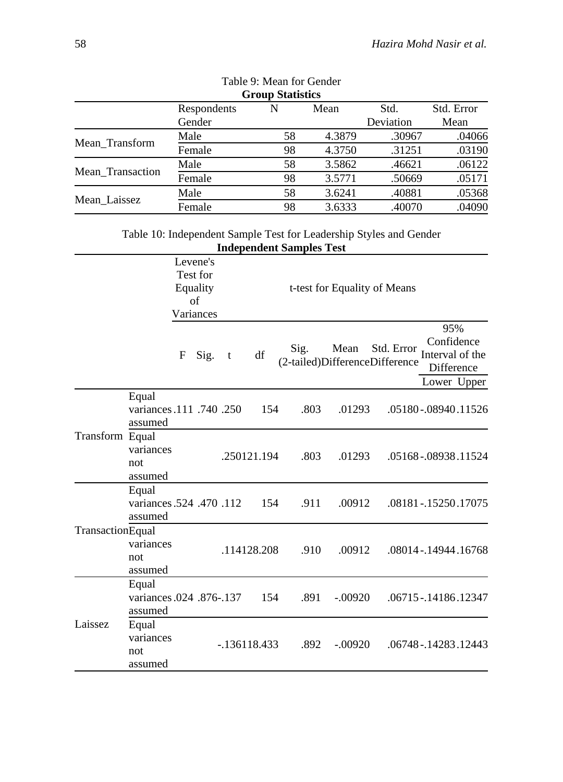| <b>Group Statistics</b> |             |    |        |           |            |  |  |
|-------------------------|-------------|----|--------|-----------|------------|--|--|
|                         | Respondents | N  | Mean   | Std.      | Std. Error |  |  |
|                         | Gender      |    |        | Deviation | Mean       |  |  |
| Mean_Transform          | Male        | 58 | 4.3879 | .30967    | .04066     |  |  |
|                         | Female      | 98 | 4.3750 | .31251    | .03190     |  |  |
| Mean Transaction        | Male        | 58 | 3.5862 | .46621    | .06122     |  |  |
|                         | Female      | 98 | 3.5771 | .50669    | .05171     |  |  |
|                         | Male        | 58 | 3.6241 | .40881    | .05368     |  |  |
| Mean Laissez            | Female      | 98 | 3.6333 | .40070    | .04090     |  |  |

| Table 9: Mean for Gender |
|--------------------------|
| <b>Group Statistics</b>  |

| Table 10: Independent Sample Test for Leadership Styles and Gender |  |
|--------------------------------------------------------------------|--|
| <b>Independent Samples Test</b>                                    |  |

|                  |                                              |   | Levene's<br>Test for<br>Equality<br>of<br>Variances |   |                |      |           | t-test for Equality of Means                 |                                                                   |  |
|------------------|----------------------------------------------|---|-----------------------------------------------------|---|----------------|------|-----------|----------------------------------------------|-------------------------------------------------------------------|--|
|                  |                                              | F | Sig.                                                | t | df             | Sig. | Mean      | Std. Error<br>(2-tailed)DifferenceDifference | 95%<br>Confidence<br>Interval of the<br>Difference<br>Lower Upper |  |
|                  | Equal<br>variances.111 .740 .250<br>assumed  |   |                                                     |   | 154            | .803 | .01293    |                                              | .05180-.08940.11526                                               |  |
| Transform Equal  | variances<br>not<br>assumed                  |   |                                                     |   | .250121.194    | .803 | .01293    |                                              | .05168-.08938.11524                                               |  |
|                  | Equal<br>variances .524 .470 .112<br>assumed |   |                                                     |   | 154            | .911 | .00912    |                                              | .08181-.15250.17075                                               |  |
| TransactionEqual | variances<br>not<br>assumed                  |   |                                                     |   | .114128.208    | .910 | .00912    |                                              | .08014-.14944.16768                                               |  |
|                  | Equal<br>variances .024 .876-.137<br>assumed |   |                                                     |   | 154            | .891 | $-.00920$ |                                              | .06715-.14186.12347                                               |  |
| Laissez          | Equal<br>variances<br>not<br>assumed         |   |                                                     |   | $-.136118.433$ | .892 | $-.00920$ |                                              | .06748 - .14283 .12443                                            |  |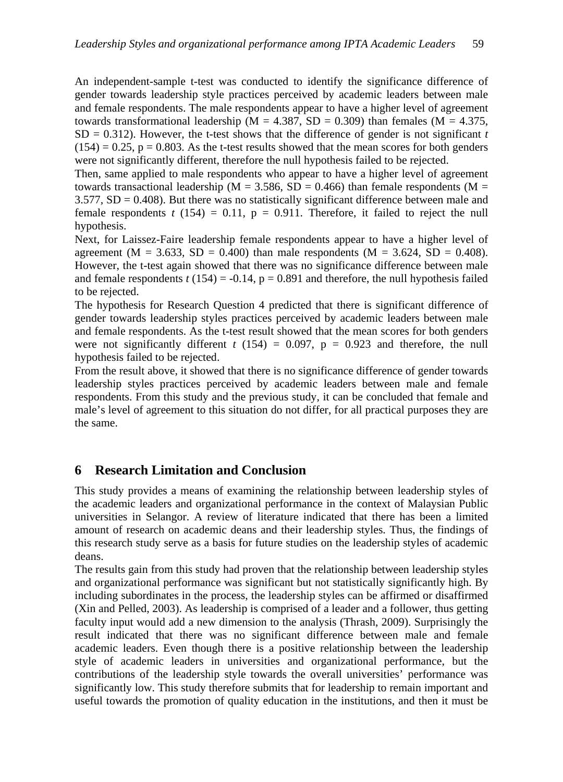An independent-sample t-test was conducted to identify the significance difference of gender towards leadership style practices perceived by academic leaders between male and female respondents. The male respondents appear to have a higher level of agreement towards transformational leadership ( $M = 4.387$ , SD = 0.309) than females ( $M = 4.375$ ,  $SD = 0.312$ ). However, the t-test shows that the difference of gender is not significant *t*  $(154) = 0.25$ ,  $p = 0.803$ . As the t-test results showed that the mean scores for both genders were not significantly different, therefore the null hypothesis failed to be rejected.

Then, same applied to male respondents who appear to have a higher level of agreement towards transactional leadership ( $M = 3.586$ , SD = 0.466) than female respondents ( $M =$  $3.577$ ,  $SD = 0.408$ ). But there was no statistically significant difference between male and female respondents  $t(154) = 0.11$ ,  $p = 0.911$ . Therefore, it failed to reject the null hypothesis.

Next, for Laissez-Faire leadership female respondents appear to have a higher level of agreement ( $M = 3.633$ ,  $SD = 0.400$ ) than male respondents ( $M = 3.624$ ,  $SD = 0.408$ ). However, the t-test again showed that there was no significance difference between male and female respondents  $t(154) = -0.14$ ,  $p = 0.891$  and therefore, the null hypothesis failed to be rejected.

The hypothesis for Research Question 4 predicted that there is significant difference of gender towards leadership styles practices perceived by academic leaders between male and female respondents. As the t-test result showed that the mean scores for both genders were not significantly different  $t(154) = 0.097$ ,  $p = 0.923$  and therefore, the null hypothesis failed to be rejected.

From the result above, it showed that there is no significance difference of gender towards leadership styles practices perceived by academic leaders between male and female respondents. From this study and the previous study, it can be concluded that female and male's level of agreement to this situation do not differ, for all practical purposes they are the same.

# **6 Research Limitation and Conclusion**

This study provides a means of examining the relationship between leadership styles of the academic leaders and organizational performance in the context of Malaysian Public universities in Selangor. A review of literature indicated that there has been a limited amount of research on academic deans and their leadership styles. Thus, the findings of this research study serve as a basis for future studies on the leadership styles of academic deans.

The results gain from this study had proven that the relationship between leadership styles and organizational performance was significant but not statistically significantly high. By including subordinates in the process, the leadership styles can be affirmed or disaffirmed (Xin and Pelled, 2003). As leadership is comprised of a leader and a follower, thus getting faculty input would add a new dimension to the analysis (Thrash, 2009). Surprisingly the result indicated that there was no significant difference between male and female academic leaders. Even though there is a positive relationship between the leadership style of academic leaders in universities and organizational performance, but the contributions of the leadership style towards the overall universities' performance was significantly low. This study therefore submits that for leadership to remain important and useful towards the promotion of quality education in the institutions, and then it must be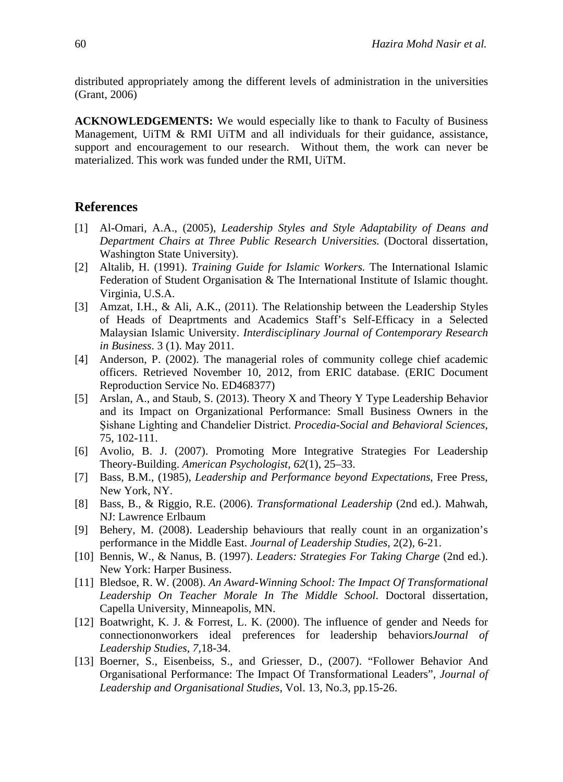distributed appropriately among the different levels of administration in the universities (Grant, 2006)

**ACKNOWLEDGEMENTS:** We would especially like to thank to Faculty of Business Management, UiTM  $\&$  RMI UiTM and all individuals for their guidance, assistance, support and encouragement to our research. Without them, the work can never be materialized. This work was funded under the RMI, UiTM.

#### **References**

- [1] Al-Omari, A.A., (2005), *Leadership Styles and Style Adaptability of Deans and Department Chairs at Three Public Research Universities.* (Doctoral dissertation, Washington State University).
- [2] Altalib, H. (1991). *Training Guide for Islamic Workers.* The International Islamic Federation of Student Organisation & The International Institute of Islamic thought. Virginia, U.S.A.
- [3] Amzat, I.H., & Ali, A.K., (2011). The Relationship between the Leadership Styles of Heads of Deaprtments and Academics Staff's Self-Efficacy in a Selected Malaysian Islamic University. *Interdisciplinary Journal of Contemporary Research in Business*. 3 (1). May 2011.
- [4] Anderson, P. (2002). The managerial roles of community college chief academic officers. Retrieved November 10, 2012, from ERIC database. (ERIC Document Reproduction Service No. ED468377)
- [5] Arslan, A., and Staub, S. (2013). Theory X and Theory Y Type Leadership Behavior and its Impact on Organizational Performance: Small Business Owners in the Şishane Lighting and Chandelier District. *Procedia-Social and Behavioral Sciences*, 75, 102-111.
- [6] Avolio, B. J. (2007). Promoting More Integrative Strategies For Leadership Theory-Building. *American Psychologist, 62*(1), 25–33.
- [7] Bass, B.M., (1985), *Leadership and Performance beyond Expectations*, Free Press, New York, NY.
- [8] Bass, B., & Riggio, R.E. (2006). *Transformational Leadership* (2nd ed.). Mahwah, NJ: Lawrence Erlbaum
- [9] Behery, M. (2008). Leadership behaviours that really count in an organization's performance in the Middle East. *Journal of Leadership Studies*, 2(2), 6-21.
- [10] Bennis, W., & Nanus, B. (1997). *Leaders: Strategies For Taking Charge* (2nd ed.). New York: Harper Business.
- [11] Bledsoe, R. W. (2008). *An Award-Winning School: The Impact Of Transformational Leadership On Teacher Morale In The Middle School*. Doctoral dissertation, Capella University, Minneapolis, MN.
- [12] Boatwright, K. J. & Forrest, L. K. (2000). The influence of gender and Needs for connectiononworkers ideal preferences for leadership behaviors*Journal of Leadership Studies, 7,*18-34.
- [13] Boerner, S., Eisenbeiss, S., and Griesser, D., (2007). "Follower Behavior And Organisational Performance: The Impact Of Transformational Leaders", *Journal of Leadership and Organisational Studies,* Vol. 13, No.3, pp.15-26.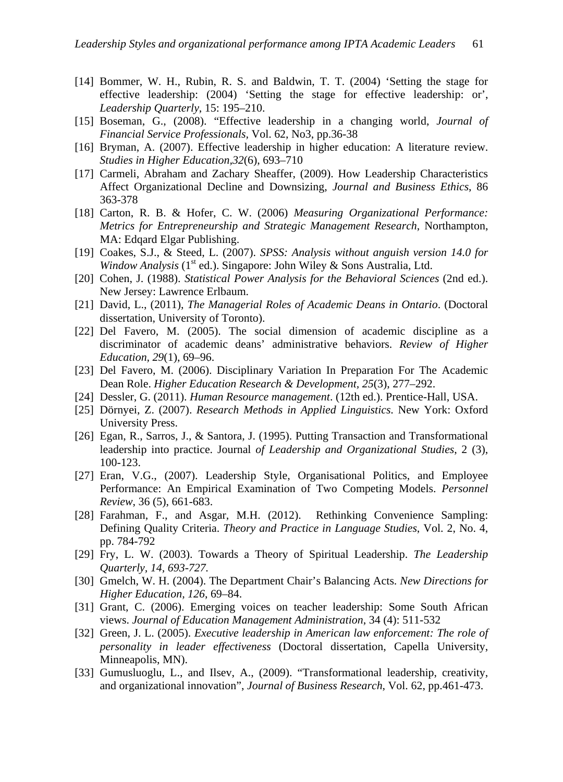- [14] Bommer, W. H., Rubin, R. S. and Baldwin, T. T. (2004) 'Setting the stage for effective leadership: (2004) 'Setting the stage for effective leadership: or', *Leadership Quarterly*, 15: 195–210.
- [15] Boseman, G., (2008). "Effective leadership in a changing world, *Journal of Financial Service Professionals,* Vol. 62, No3, pp.36-38
- [16] Bryman, A. (2007). Effective leadership in higher education: A literature review. *Studies in Higher Education,32*(6), 693–710
- [17] Carmeli, Abraham and Zachary Sheaffer, (2009). How Leadership Characteristics Affect Organizational Decline and Downsizing, *Journal and Business Ethics*, 86 363-378
- [18] Carton, R. B. & Hofer, C. W. (2006) *Measuring Organizational Performance: Metrics for Entrepreneurship and Strategic Management Research*, Northampton, MA: Edqard Elgar Publishing.
- [19] Coakes, S.J., & Steed, L. (2007). *SPSS: Analysis without anguish version 14.0 for Window Analysis* (1<sup>st</sup> ed.). Singapore: John Wiley & Sons Australia, Ltd.
- [20] Cohen, J. (1988). *Statistical Power Analysis for the Behavioral Sciences* (2nd ed.). New Jersey: Lawrence Erlbaum.
- [21] David, L., (2011), *The Managerial Roles of Academic Deans in Ontario*. (Doctoral dissertation, University of Toronto).
- [22] Del Favero, M. (2005). The social dimension of academic discipline as a discriminator of academic deans' administrative behaviors. *Review of Higher Education, 29*(1), 69–96.
- [23] Del Favero, M. (2006). Disciplinary Variation In Preparation For The Academic Dean Role. *Higher Education Research & Development, 25*(3), 277–292.
- [24] Dessler, G. (2011). *Human Resource management*. (12th ed.). Prentice-Hall, USA.
- [25] Dörnyei, Z. (2007). *Research Methods in Applied Linguistics*. New York: Oxford University Press.
- [26] Egan, R., Sarros, J., & Santora, J. (1995). Putting Transaction and Transformational leadership into practice. Journal *of Leadership and Organizational Studies*, 2 (3), 100-123.
- [27] Eran, V.G., (2007). Leadership Style, Organisational Politics, and Employee Performance: An Empirical Examination of Two Competing Models. *Personnel Review*, 36 (5), 661-683.
- [28] Farahman, F., and Asgar, M.H. (2012). Rethinking Convenience Sampling: Defining Quality Criteria. *Theory and Practice in Language Studies*, Vol. 2, No. 4, pp. 784-792
- [29] Fry, L. W. (2003). Towards a Theory of Spiritual Leadership. *The Leadership Quarterly, 14, 693-727.*
- [30] Gmelch, W. H. (2004). The Department Chair's Balancing Acts. *New Directions for Higher Education, 126*, 69–84.
- [31] Grant, C. (2006). Emerging voices on teacher leadership: Some South African views. *Journal of Education Management Administration*, 34 (4): 511-532
- [32] Green, J. L. (2005). *Executive leadership in American law enforcement: The role of personality in leader effectiveness* (Doctoral dissertation, Capella University, Minneapolis, MN).
- [33] Gumusluoglu, L., and Ilsev, A., (2009). "Transformational leadership, creativity, and organizational innovation", *Journal of Business Research*, Vol. 62, pp.461-473.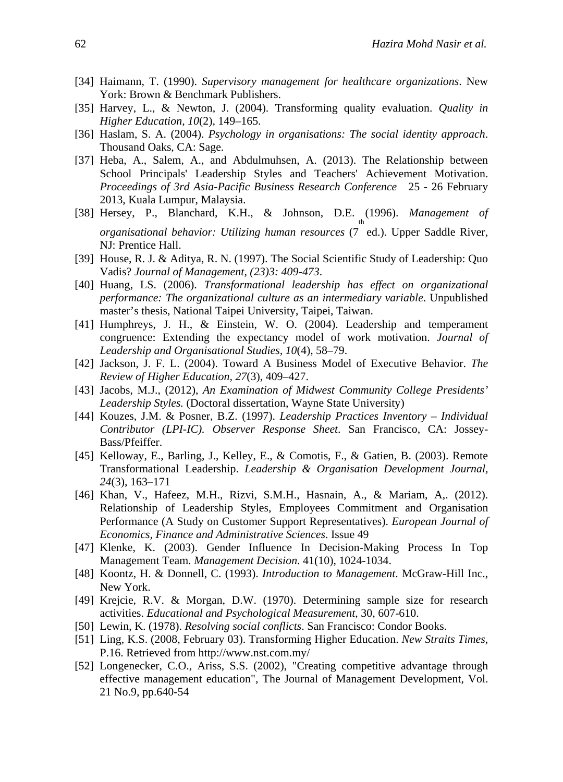- [34] Haimann, T. (1990). *Supervisory management for healthcare organizations*. New York: Brown & Benchmark Publishers.
- [35] Harvey, L., & Newton, J. (2004). Transforming quality evaluation. *Quality in Higher Education, 10*(2), 149–165.
- [36] Haslam, S. A. (2004). *Psychology in organisations: The social identity approach*. Thousand Oaks, CA: Sage.
- [37] Heba, A., Salem, A., and Abdulmuhsen, A. (2013). The Relationship between School Principals' Leadership Styles and Teachers' Achievement Motivation. *Proceedings of 3rd Asia-Pacific Business Research Conference* 25 - 26 February 2013, Kuala Lumpur, Malaysia.
- [38] Hersey, P., Blanchard, K.H., & Johnson, D.E. (1996). *Management of organisational behavior: Utilizing human resources* (7 ed.). Upper Saddle River, NJ: Prentice Hall.
- [39] House, R. J. & Aditya, R. N. (1997). The Social Scientific Study of Leadership: Quo Vadis? *Journal of Management, (23)3: 409-473*.
- [40] Huang, LS. (2006). *Transformational leadership has effect on organizational performance: The organizational culture as an intermediary variable*. Unpublished master's thesis, National Taipei University, Taipei, Taiwan.
- [41] Humphreys, J. H., & Einstein, W. O. (2004). Leadership and temperament congruence: Extending the expectancy model of work motivation. *Journal of Leadership and Organisational Studies, 10*(4), 58–79.
- [42] Jackson, J. F. L. (2004). Toward A Business Model of Executive Behavior. *The Review of Higher Education, 27*(3), 409–427.
- [43] Jacobs, M.J., (2012), *An Examination of Midwest Community College Presidents' Leadership Styles.* (Doctoral dissertation, Wayne State University)
- [44] Kouzes, J.M. & Posner, B.Z. (1997). *Leadership Practices Inventory – Individual Contributor (LPI-IC). Observer Response Sheet*. San Francisco, CA: Jossey-Bass/Pfeiffer.
- [45] Kelloway, E., Barling, J., Kelley, E., & Comotis, F., & Gatien, B. (2003). Remote Transformational Leadership. *Leadership & Organisation Development Journal, 24*(3), 163–171
- [46] Khan, V., Hafeez, M.H., Rizvi, S.M.H., Hasnain, A., & Mariam, A,. (2012). Relationship of Leadership Styles, Employees Commitment and Organisation Performance (A Study on Customer Support Representatives). *European Journal of Economics, Finance and Administrative Sciences*. Issue 49
- [47] Klenke, K. (2003). Gender Influence In Decision-Making Process In Top Management Team. *Management Decision*. 41(10), 1024-1034.
- [48] Koontz, H. & Donnell, C. (1993). *Introduction to Management*. McGraw-Hill Inc., New York.
- [49] Krejcie, R.V. & Morgan, D.W. (1970). Determining sample size for research activities. *Educational and Psychological Measurement*, 30, 607-610.
- [50] Lewin, K. (1978). *Resolving social conflicts*. San Francisco: Condor Books.
- [51] Ling, K.S. (2008, February 03). Transforming Higher Education. *New Straits Times*, P.16. Retrieved from http://www.nst.com.my/
- [52] Longenecker, C.O., Ariss, S.S. (2002), "Creating competitive advantage through effective management education", The Journal of Management Development, Vol. 21 No.9, pp.640-54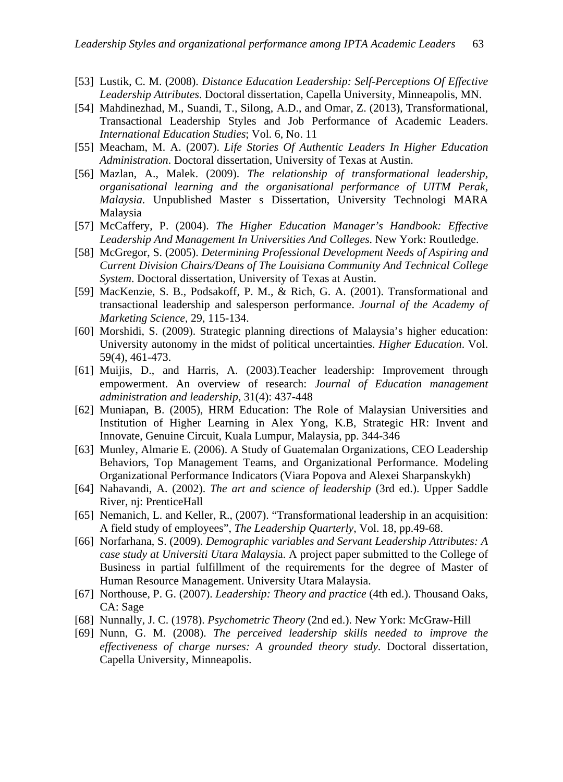- [53] Lustik, C. M. (2008). *Distance Education Leadership: Self-Perceptions Of Effective Leadership Attributes*. Doctoral dissertation, Capella University, Minneapolis, MN.
- [54] Mahdinezhad, M., Suandi, T., Silong, A.D., and Omar, Z. (2013), Transformational, Transactional Leadership Styles and Job Performance of Academic Leaders. *International Education Studies*; Vol. 6, No. 11
- [55] Meacham, M. A. (2007). *Life Stories Of Authentic Leaders In Higher Education Administration*. Doctoral dissertation, University of Texas at Austin.
- [56] Mazlan, A., Malek. (2009). *The relationship of transformational leadership, organisational learning and the organisational performance of UITM Perak, Malaysia*. Unpublished Master s Dissertation, University Technologi MARA Malaysia
- [57] McCaffery, P. (2004). *The Higher Education Manager's Handbook: Effective Leadership And Management In Universities And Colleges*. New York: Routledge.
- [58] McGregor, S. (2005). *Determining Professional Development Needs of Aspiring and Current Division Chairs/Deans of The Louisiana Community And Technical College System*. Doctoral dissertation, University of Texas at Austin.
- [59] MacKenzie, S. B., Podsakoff, P. M., & Rich, G. A. (2001). Transformational and transactional leadership and salesperson performance. *Journal of the Academy of Marketing Science*, 29, 115-134.
- [60] Morshidi, S. (2009). Strategic planning directions of Malaysia's higher education: University autonomy in the midst of political uncertainties. *Higher Education*. Vol. 59(4), 461-473.
- [61] Muijis, D., and Harris, A. (2003).Teacher leadership: Improvement through empowerment. An overview of research: *Journal of Education management administration and leadership*, 31(4): 437-448
- [62] Muniapan, B. (2005), HRM Education: The Role of Malaysian Universities and Institution of Higher Learning in Alex Yong, K.B, Strategic HR: Invent and Innovate, Genuine Circuit, Kuala Lumpur, Malaysia, pp. 344-346
- [63] Munley, Almarie E. (2006). A Study of Guatemalan Organizations, CEO Leadership Behaviors, Top Management Teams, and Organizational Performance. Modeling Organizational Performance Indicators (Viara Popova and Alexei Sharpanskykh)
- [64] Nahavandi, A. (2002). *The art and science of leadership* (3rd ed.). Upper Saddle River, nj: PrenticeHall
- [65] Nemanich, L. and Keller, R., (2007). "Transformational leadership in an acquisition: A field study of employees", *The Leadership Quarterly*, Vol. 18, pp.49-68.
- [66] Norfarhana, S. (2009). *Demographic variables and Servant Leadership Attributes: A case study at Universiti Utara Malaysi*a. A project paper submitted to the College of Business in partial fulfillment of the requirements for the degree of Master of Human Resource Management. University Utara Malaysia.
- [67] Northouse, P. G. (2007). *Leadership: Theory and practice* (4th ed.). Thousand Oaks, CA: Sage
- [68] Nunnally, J. C. (1978). *Psychometric Theory* (2nd ed.). New York: McGraw-Hill
- [69] Nunn, G. M. (2008). *The perceived leadership skills needed to improve the effectiveness of charge nurses: A grounded theory study*. Doctoral dissertation, Capella University, Minneapolis.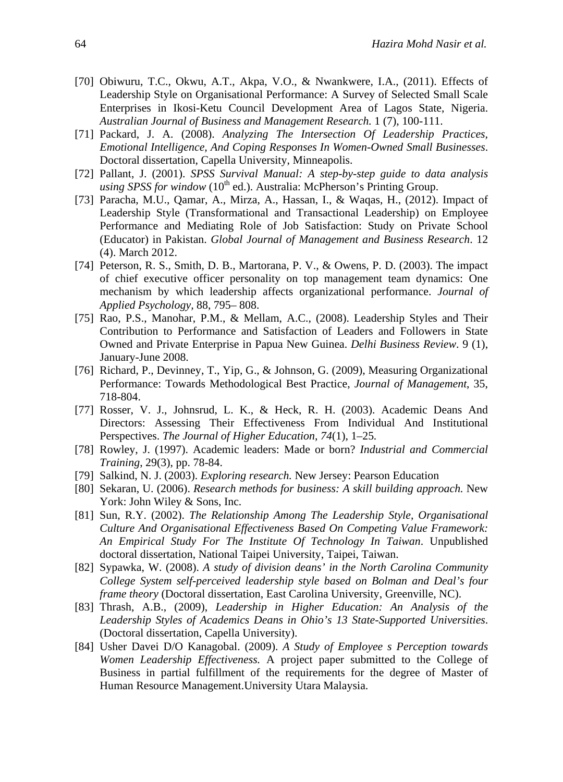- [70] Obiwuru, T.C., Okwu, A.T., Akpa, V.O., & Nwankwere, I.A., (2011). Effects of Leadership Style on Organisational Performance: A Survey of Selected Small Scale Enterprises in Ikosi-Ketu Council Development Area of Lagos State, Nigeria. *Australian Journal of Business and Management Research.* 1 (7), 100-111.
- [71] Packard, J. A. (2008). *Analyzing The Intersection Of Leadership Practices, Emotional Intelligence, And Coping Responses In Women-Owned Small Businesses*. Doctoral dissertation, Capella University, Minneapolis.
- [72] Pallant, J. (2001). *SPSS Survival Manual: A step-by-step guide to data analysis using SPSS for window* (10<sup>th</sup> ed.). Australia: McPherson's Printing Group.
- [73] Paracha, M.U., Qamar, A., Mirza, A., Hassan, I., & Waqas, H., (2012). Impact of Leadership Style (Transformational and Transactional Leadership) on Employee Performance and Mediating Role of Job Satisfaction: Study on Private School (Educator) in Pakistan. *Global Journal of Management and Business Research*. 12 (4). March 2012.
- [74] Peterson, R. S., Smith, D. B., Martorana, P. V., & Owens, P. D. (2003). The impact of chief executive officer personality on top management team dynamics: One mechanism by which leadership affects organizational performance. *Journal of Applied Psychology,* 88, 795– 808.
- [75] Rao, P.S., Manohar, P.M., & Mellam, A.C., (2008). Leadership Styles and Their Contribution to Performance and Satisfaction of Leaders and Followers in State Owned and Private Enterprise in Papua New Guinea. *Delhi Business Review*. 9 (1), January-June 2008.
- [76] Richard, P., Devinney, T., Yip, G., & Johnson, G. (2009), Measuring Organizational Performance: Towards Methodological Best Practice, *Journal of Management*, 35, 718-804.
- [77] Rosser, V. J., Johnsrud, L. K., & Heck, R. H. (2003). Academic Deans And Directors: Assessing Their Effectiveness From Individual And Institutional Perspectives. *The Journal of Higher Education, 74*(1), 1–25*.*
- [78] Rowley, J. (1997). Academic leaders: Made or born? *Industrial and Commercial Training*, 29(3), pp. 78-84.
- [79] Salkind, N. J. (2003). *Exploring research.* New Jersey: Pearson Education
- [80] Sekaran, U. (2006). *Research methods for business: A skill building approach*. New York: John Wiley & Sons, Inc.
- [81] Sun, R.Y. (2002). *The Relationship Among The Leadership Style, Organisational Culture And Organisational Effectiveness Based On Competing Value Framework: An Empirical Study For The Institute Of Technology In Taiwan*. Unpublished doctoral dissertation, National Taipei University, Taipei, Taiwan.
- [82] Sypawka, W. (2008). *A study of division deans' in the North Carolina Community College System self-perceived leadership style based on Bolman and Deal's four frame theory (Doctoral dissertation, East Carolina University, Greenville, NC).*
- [83] Thrash, A.B., (2009), *Leadership in Higher Education: An Analysis of the Leadership Styles of Academics Deans in Ohio's 13 State-Supported Universities*. (Doctoral dissertation, Capella University).
- [84] Usher Davei D/O Kanagobal. (2009). *A Study of Employee s Perception towards Women Leadership Effectiveness.* A project paper submitted to the College of Business in partial fulfillment of the requirements for the degree of Master of Human Resource Management.University Utara Malaysia.